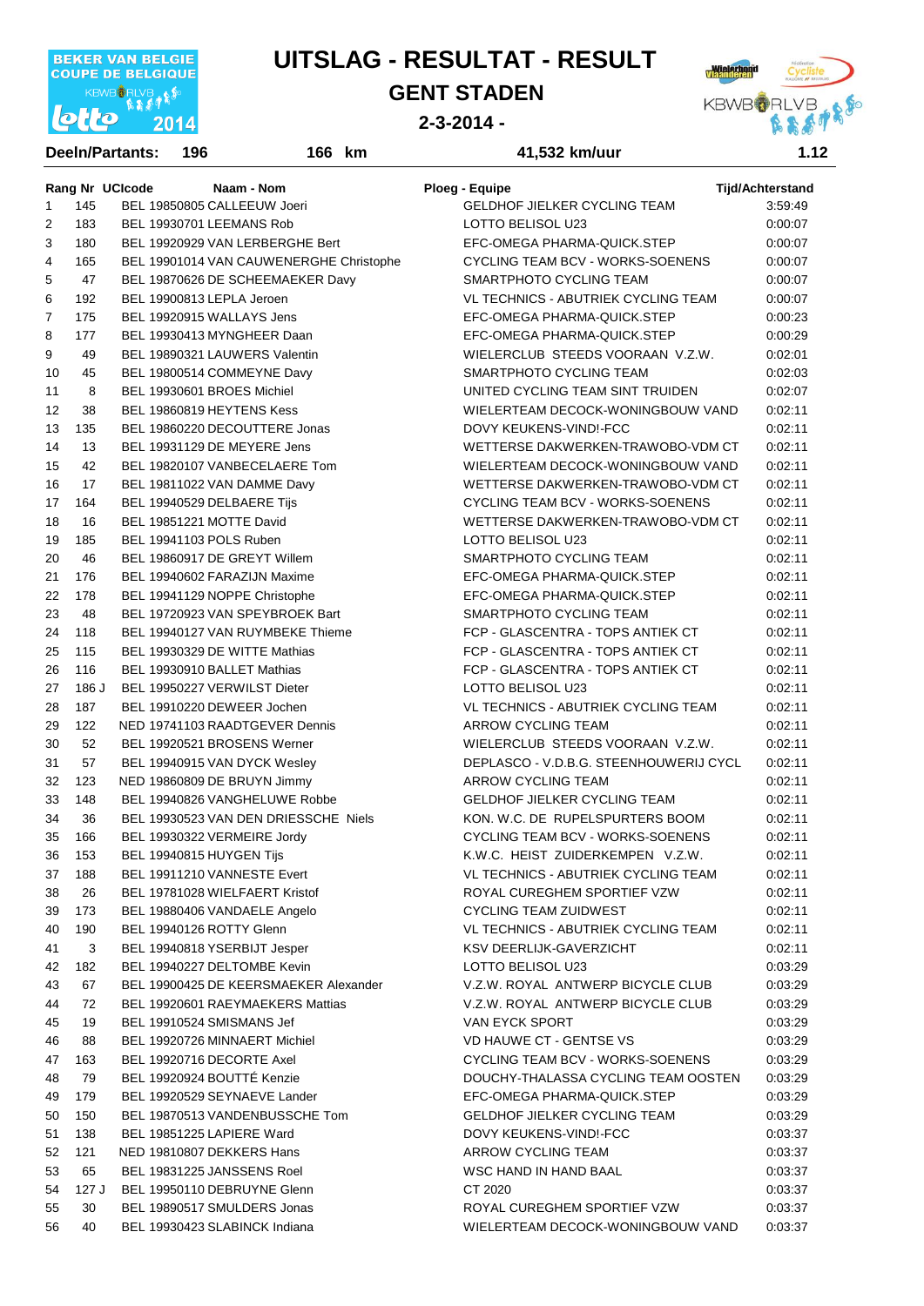

#### **GENT STADEN**



#### **2-3-2014 -**

|                |                 | <b>Deeln/Partants:</b> | 196                                     | 166 km | 41,532 km/uur                                                          | 1.12                    |
|----------------|-----------------|------------------------|-----------------------------------------|--------|------------------------------------------------------------------------|-------------------------|
|                | Rang Nr UCIcode |                        | Naam - Nom                              |        | <b>Ploeg - Equipe</b>                                                  | <b>Tijd/Achterstand</b> |
| $\mathbf{1}$   | 145             |                        | BEL 19850805 CALLEEUW Joeri             |        | GELDHOF JIELKER CYCLING TEAM                                           | 3:59:49                 |
| 2              | 183             |                        | BEL 19930701 LEEMANS Rob                |        | LOTTO BELISOL U23                                                      | 0:00:07                 |
| 3              | 180             |                        | BEL 19920929 VAN LERBERGHE Bert         |        | EFC-OMEGA PHARMA-QUICK.STEP                                            | 0.00:07                 |
| $\overline{4}$ | 165             |                        | BEL 19901014 VAN CAUWENERGHE Christophe |        | CYCLING TEAM BCV - WORKS-SOENENS                                       | 0:00:07                 |
| 5              | 47              |                        | BEL 19870626 DE SCHEEMAEKER Davy        |        | SMARTPHOTO CYCLING TEAM                                                | 0:00:07                 |
| 6              | 192             |                        | BEL 19900813 LEPLA Jeroen               |        | VL TECHNICS - ABUTRIEK CYCLING TEAM                                    | 0.00.07                 |
| 7              | 175             |                        | BEL 19920915 WALLAYS Jens               |        | EFC-OMEGA PHARMA-QUICK.STEP                                            | 0:00:23                 |
| 8              | 177             |                        | BEL 19930413 MYNGHEER Daan              |        | EFC-OMEGA PHARMA-QUICK.STEP                                            | 0:00:29                 |
| 9              | 49              |                        | BEL 19890321 LAUWERS Valentin           |        | WIELERCLUB STEEDS VOORAAN V.Z.W.                                       | 0:02:01                 |
| 10             | 45              |                        | BEL 19800514 COMMEYNE Davy              |        | SMARTPHOTO CYCLING TEAM                                                | 0.02:03                 |
| 11             | 8               |                        | BEL 19930601 BROES Michiel              |        | UNITED CYCLING TEAM SINT TRUIDEN                                       | 0.02:07                 |
| 12             | 38              |                        | BEL 19860819 HEYTENS Kess               |        | WIELERTEAM DECOCK-WONINGBOUW VAND                                      | 0:02:11                 |
| 13             | 135             |                        | BEL 19860220 DECOUTTERE Jonas           |        | DOVY KEUKENS-VINDI-FCC                                                 | 0:02:11                 |
| 14             | 13              |                        | BEL 19931129 DE MEYERE Jens             |        | WETTERSE DAKWERKEN-TRAWOBO-VDM CT                                      | 0:02:11                 |
| 15             | 42              |                        | BEL 19820107 VANBECELAERE Tom           |        | WIELERTEAM DECOCK-WONINGBOUW VAND                                      | 0:02:11                 |
| 16             | 17              |                        | BEL 19811022 VAN DAMME Davy             |        | WETTERSE DAKWERKEN-TRAWOBO-VDM CT                                      | 0:02:11                 |
| 17             | 164             |                        | BEL 19940529 DELBAERE Tijs              |        | CYCLING TEAM BCV - WORKS-SOENENS                                       | 0:02:11                 |
| 18             | 16              |                        | BEL 19851221 MOTTE David                |        | WETTERSE DAKWERKEN-TRAWOBO-VDM CT                                      | 0:02:11                 |
|                |                 |                        |                                         |        |                                                                        |                         |
| 19             | 185             |                        | BEL 19941103 POLS Ruben                 |        | LOTTO BELISOL U23                                                      | 0:02:11                 |
| 20             | 46              |                        | BEL 19860917 DE GREYT Willem            |        | SMARTPHOTO CYCLING TEAM                                                | 0:02:11                 |
| 21             | 176             |                        | BEL 19940602 FARAZIJN Maxime            |        | EFC-OMEGA PHARMA-QUICK.STEP                                            | 0:02:11                 |
| 22             | 178             |                        | BEL 19941129 NOPPE Christophe           |        | EFC-OMEGA PHARMA-QUICK.STEP                                            | 0:02:11                 |
| 23<br>24       | 48              |                        | BEL 19720923 VAN SPEYBROEK Bart         |        | SMARTPHOTO CYCLING TEAM                                                | 0:02:11                 |
|                | 118             |                        | BEL 19940127 VAN RUYMBEKE Thieme        |        | FCP - GLASCENTRA - TOPS ANTIEK CT<br>FCP - GLASCENTRA - TOPS ANTIEK CT | 0:02:11                 |
| 25             | 115             |                        | BEL 19930329 DE WITTE Mathias           |        | FCP - GLASCENTRA - TOPS ANTIEK CT                                      | 0:02:11                 |
| 26             | 116             |                        | BEL 19930910 BALLET Mathias             |        |                                                                        | 0:02:11                 |
| 27             | 186 J           |                        | BEL 19950227 VERWILST Dieter            |        | LOTTO BELISOL U23                                                      | 0:02:11                 |
| 28             | 187             |                        | BEL 19910220 DEWEER Jochen              |        | VL TECHNICS - ABUTRIEK CYCLING TEAM                                    | 0:02:11                 |
| 29             | 122             |                        | NED 19741103 RAADTGEVER Dennis          |        | ARROW CYCLING TEAM                                                     | 0:02:11                 |
| 30             | 52              |                        | BEL 19920521 BROSENS Werner             |        | WIELERCLUB STEEDS VOORAAN V.Z.W.                                       | 0:02:11                 |
| 31             | 57              |                        | BEL 19940915 VAN DYCK Wesley            |        | DEPLASCO - V.D.B.G. STEENHOUWERIJ CYCL                                 | 0:02:11                 |
| 32             | 123             |                        | NED 19860809 DE BRUYN Jimmy             |        | ARROW CYCLING TEAM                                                     | 0:02:11                 |
| 33             | 148             |                        | BEL 19940826 VANGHELUWE Robbe           |        | <b>GELDHOF JIELKER CYCLING TEAM</b>                                    | 0:02:11                 |
| 34             | 36              |                        | BEL 19930523 VAN DEN DRIESSCHE Niels    |        | KON. W.C. DE RUPELSPURTERS BOOM                                        | 0:02:11                 |
| 35             | 166             |                        | BEL 19930322 VERMEIRE Jordy             |        | CYCLING TEAM BCV - WORKS-SOENENS                                       | 0:02:11                 |
| 36             | 153             |                        | BEL 19940815 HUYGEN Tijs                |        | K.W.C. HEIST ZUIDERKEMPEN V.Z.W.                                       | 0:02:11                 |
| 37             | 188             |                        | BEL 19911210 VANNESTE Evert             |        | VL TECHNICS - ABUTRIEK CYCLING TEAM                                    | 0:02:11                 |
| 38             | 26              |                        | BEL 19781028 WIELFAERT Kristof          |        | ROYAL CUREGHEM SPORTIEF VZW                                            | 0:02:11                 |
| 39             | 173             |                        | BEL 19880406 VANDAELE Angelo            |        | <b>CYCLING TEAM ZUIDWEST</b>                                           | 0:02:11                 |
| 40             | 190             |                        | BEL 19940126 ROTTY Glenn                |        | VL TECHNICS - ABUTRIEK CYCLING TEAM                                    | 0.02:11                 |
| 41             | 3               |                        | BEL 19940818 YSERBIJT Jesper            |        | <b>KSV DEERLIJK-GAVERZICHT</b>                                         | 0.02:11                 |
| 42             | 182             |                        | BEL 19940227 DELTOMBE Kevin             |        | LOTTO BELISOL U23                                                      | 0:03:29                 |
| 43             | 67              |                        | BEL 19900425 DE KEERSMAEKER Alexander   |        | V.Z.W. ROYAL ANTWERP BICYCLE CLUB                                      | 0.03.29                 |
| 44             | 72              |                        | BEL 19920601 RAEYMAEKERS Mattias        |        | V.Z.W. ROYAL ANTWERP BICYCLE CLUB                                      | 0.03.29                 |
| 45             | 19              |                        | BEL 19910524 SMISMANS Jef               |        | VAN EYCK SPORT                                                         | 0:03:29                 |
| 46             | 88              |                        | BEL 19920726 MINNAERT Michiel           |        | <b>VD HAUWE CT - GENTSE VS</b>                                         | 0:03:29                 |
| 47             | 163             |                        | BEL 19920716 DECORTE Axel               |        | CYCLING TEAM BCV - WORKS-SOENENS                                       | 0.03.29                 |
| 48             | 79              |                        | BEL 19920924 BOUTTÉ Kenzie              |        | DOUCHY-THALASSA CYCLING TEAM OOSTEN                                    | 0.03.29                 |
| 49             | 179             |                        | BEL 19920529 SEYNAEVE Lander            |        | EFC-OMEGA PHARMA-QUICK.STEP                                            | 0:03:29                 |
| 50             | 150             |                        | BEL 19870513 VANDENBUSSCHE Tom          |        | <b>GELDHOF JIELKER CYCLING TEAM</b>                                    | 0:03:29                 |
| 51             | 138             |                        | BEL 19851225 LAPIERE Ward               |        | DOVY KEUKENS-VIND!-FCC                                                 | 0:03:37                 |
| 52             | 121             |                        | NED 19810807 DEKKERS Hans               |        | ARROW CYCLING TEAM                                                     | 0:03:37                 |
| 53             | 65              |                        | BEL 19831225 JANSSENS Roel              |        | WSC HAND IN HAND BAAL                                                  | 0:03:37                 |
| 54             | 127 J           |                        | BEL 19950110 DEBRUYNE Glenn             |        | CT 2020                                                                | 0:03:37                 |
| 55             | 30              |                        | BEL 19890517 SMULDERS Jonas             |        | ROYAL CUREGHEM SPORTIEF VZW                                            | 0:03:37                 |
| 56             | 40              |                        | BEL 19930423 SLABINCK Indiana           |        | WIELERTEAM DECOCK-WONINGBOUW VAND                                      | 0:03:37                 |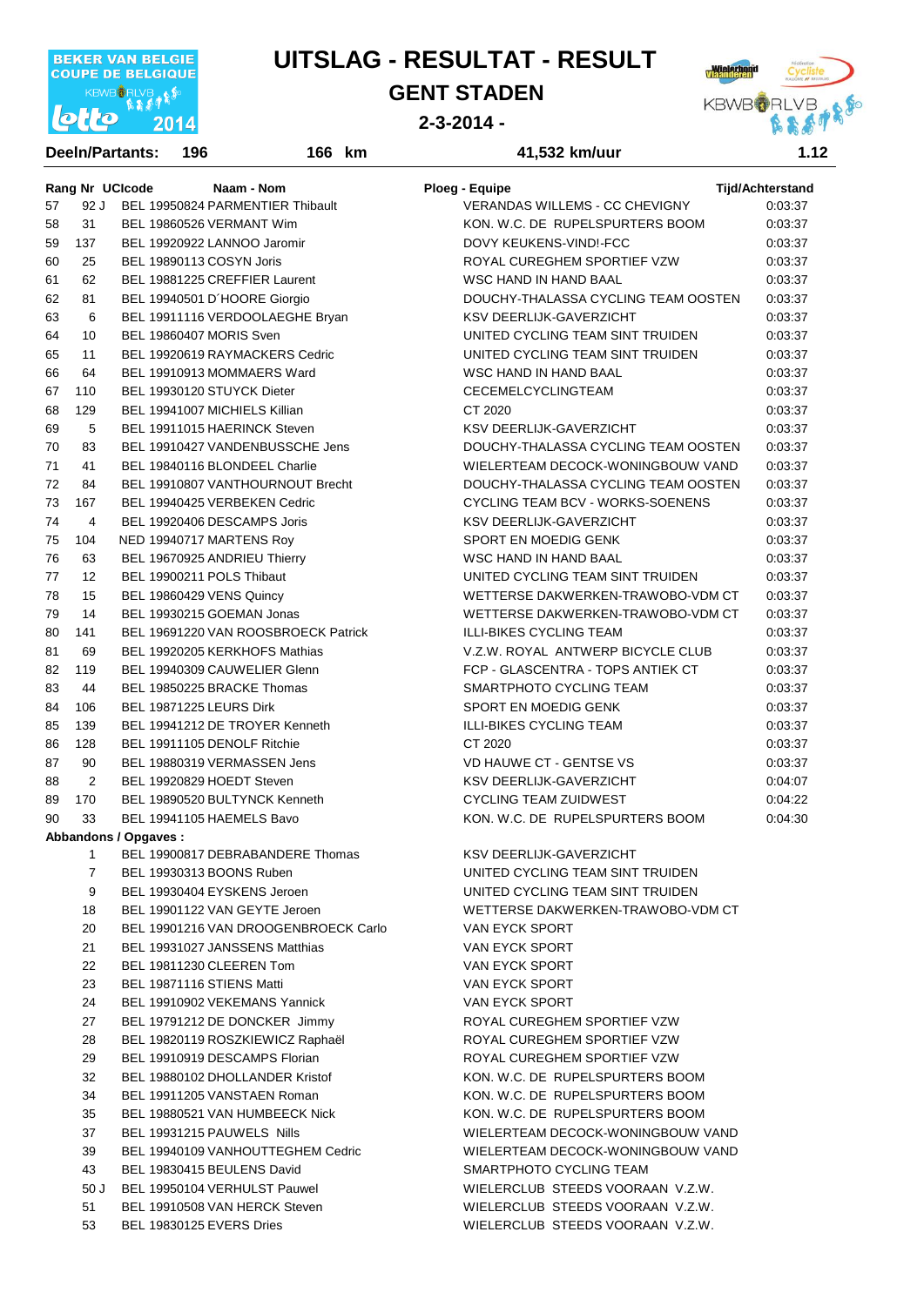

#### **GENT STADEN**



**2-3-2014 -** 

|    |                | <b>DeeIn/Partants:</b> | 196                           | 166 km                               | 41,532 km/uur                       | 1.12                    |
|----|----------------|------------------------|-------------------------------|--------------------------------------|-------------------------------------|-------------------------|
|    |                | Rang Nr UCIcode        |                               | Naam - Nom                           | Ploeg - Equipe                      | <b>Tijd/Achterstand</b> |
| 57 | 92 J           |                        |                               | BEL 19950824 PARMENTIER Thibault     | VERANDAS WILLEMS - CC CHEVIGNY      | 0:03:37                 |
| 58 | 31             |                        | BEL 19860526 VERMANT Wim      |                                      | KON, W.C. DE RUPELSPURTERS BOOM     | 0:03:37                 |
| 59 | 137            |                        | BEL 19920922 LANNOO Jaromir   |                                      | DOVY KEUKENS-VIND!-FCC              | 0:03:37                 |
| 60 | 25             |                        | BEL 19890113 COSYN Joris      |                                      | ROYAL CUREGHEM SPORTIEF VZW         | 0:03:37                 |
| 61 | 62             |                        |                               | BEL 19881225 CREFFIER Laurent        | WSC HAND IN HAND BAAL               | 0:03:37                 |
| 62 | 81             |                        | BEL 19940501 D'HOORE Giorgio  |                                      | DOUCHY-THALASSA CYCLING TEAM OOSTEN | 0:03:37                 |
| 63 | 6              |                        |                               | BEL 19911116 VERDOOLAEGHE Bryan      | KSV DEERLIJK-GAVERZICHT             | 0:03:37                 |
| 64 | 10             |                        | BEL 19860407 MORIS Sven       |                                      | UNITED CYCLING TEAM SINT TRUIDEN    | 0:03:37                 |
| 65 | 11             |                        |                               | BEL 19920619 RAYMACKERS Cedric       | UNITED CYCLING TEAM SINT TRUIDEN    | 0:03:37                 |
| 66 | 64             |                        |                               | BEL 19910913 MOMMAERS Ward           | WSC HAND IN HAND BAAL               | 0:03:37                 |
| 67 | 110            |                        | BEL 19930120 STUYCK Dieter    |                                      | CECEMELCYCLINGTEAM                  | 0:03:37                 |
| 68 | 129            |                        | BEL 19941007 MICHIELS Killian |                                      | CT 2020                             | 0:03:37                 |
| 69 | 5              |                        | BEL 19911015 HAERINCK Steven  |                                      | KSV DEERLIJK-GAVERZICHT             | 0:03:37                 |
| 70 | 83             |                        |                               | BEL 19910427 VANDENBUSSCHE Jens      | DOUCHY-THALASSA CYCLING TEAM OOSTEN | 0:03:37                 |
| 71 | 41             |                        |                               | BEL 19840116 BLONDEEL Charlie        | WIELERTEAM DECOCK-WONINGBOUW VAND   | 0:03:37                 |
| 72 | 84             |                        |                               | BEL 19910807 VANTHOURNOUT Brecht     | DOUCHY-THALASSA CYCLING TEAM OOSTEN | 0:03:37                 |
| 73 | 167            |                        |                               | BEL 19940425 VERBEKEN Cedric         | CYCLING TEAM BCV - WORKS-SOENENS    | 0:03:37                 |
| 74 | 4              |                        | BEL 19920406 DESCAMPS Joris   |                                      | <b>KSV DEERLIJK-GAVERZICHT</b>      | 0:03:37                 |
| 75 | 104            |                        | NED 19940717 MARTENS Roy      |                                      | SPORT EN MOEDIG GENK                | 0:03:37                 |
| 76 | 63             |                        | BEL 19670925 ANDRIEU Thierry  |                                      | WSC HAND IN HAND BAAL               | 0:03:37                 |
| 77 | 12             |                        | BEL 19900211 POLS Thibaut     |                                      | UNITED CYCLING TEAM SINT TRUIDEN    | 0:03:37                 |
| 78 | 15             |                        | BEL 19860429 VENS Quincy      |                                      | WETTERSE DAKWERKEN-TRAWOBO-VDM CT   | 0:03:37                 |
| 79 | 14             |                        | BEL 19930215 GOEMAN Jonas     |                                      | WETTERSE DAKWERKEN-TRAWOBO-VDM CT   | 0:03:37                 |
| 80 | 141            |                        |                               | BEL 19691220 VAN ROOSBROECK Patrick  | <b>ILLI-BIKES CYCLING TEAM</b>      | 0:03:37                 |
| 81 | 69             |                        |                               | BEL 19920205 KERKHOFS Mathias        | V.Z.W. ROYAL ANTWERP BICYCLE CLUB   | 0:03:37                 |
| 82 | 119            |                        |                               | BEL 19940309 CAUWELIER Glenn         | FCP - GLASCENTRA - TOPS ANTIEK CT   | 0:03:37                 |
| 83 | 44             |                        | BEL 19850225 BRACKE Thomas    |                                      | SMARTPHOTO CYCLING TEAM             | 0:03:37                 |
| 84 | 106            |                        | BEL 19871225 LEURS Dirk       |                                      | SPORT EN MOEDIG GENK                | 0:03:37                 |
| 85 | 139            |                        |                               | BEL 19941212 DE TROYER Kenneth       | <b>ILLI-BIKES CYCLING TEAM</b>      | 0:03:37                 |
| 86 | 128            |                        | BEL 19911105 DENOLF Ritchie   |                                      | CT 2020                             | 0:03:37                 |
| 87 | 90             |                        |                               | BEL 19880319 VERMASSEN Jens          | VD HAUWE CT - GENTSE VS             | 0:03:37                 |
| 88 | $\overline{2}$ |                        | BEL 19920829 HOEDT Steven     |                                      | <b>KSV DEERLIJK-GAVERZICHT</b>      | 0:04:07                 |
| 89 | 170            |                        |                               | BEL 19890520 BULTYNCK Kenneth        | <b>CYCLING TEAM ZUIDWEST</b>        | 0:04:22                 |
| 90 | 33             |                        | BEL 19941105 HAEMELS Bavo     |                                      | KON, W.C. DE RUPELSPURTERS BOOM     | 0:04:30                 |
|    |                | Abbandons / Opgaves :  |                               |                                      |                                     |                         |
|    | 1              |                        |                               | BEL 19900817 DEBRABANDERE Thomas     | KSV DEERLIJK-GAVERZICHT             |                         |
|    | $\overline{7}$ |                        | BEL 19930313 BOONS Ruben      |                                      | UNITED CYCLING TEAM SINT TRUIDEN    |                         |
|    | 9              |                        | BEL 19930404 EYSKENS Jeroen   |                                      | UNITED CYCLING TEAM SINT TRUIDEN    |                         |
|    | 18             |                        |                               | BEL 19901122 VAN GEYTE Jeroen        | WETTERSE DAKWERKEN-TRAWOBO-VDM CT   |                         |
|    | 20             |                        |                               | BEL 19901216 VAN DROOGENBROECK Carlo | VAN EYCK SPORT                      |                         |
|    | 21             |                        |                               | BEL 19931027 JANSSENS Matthias       | VAN EYCK SPORT                      |                         |
|    | 22             |                        | BEL 19811230 CLEEREN Tom      |                                      | VAN EYCK SPORT                      |                         |
|    | 23             |                        | BEL 19871116 STIENS Matti     |                                      | VAN EYCK SPORT                      |                         |
|    | 24             |                        |                               | BEL 19910902 VEKEMANS Yannick        | VAN EYCK SPORT                      |                         |
|    | 27             |                        |                               | BEL 19791212 DE DONCKER Jimmy        | ROYAL CUREGHEM SPORTIEF VZW         |                         |
|    | 28             |                        |                               | BEL 19820119 ROSZKIEWICZ Raphaël     | ROYAL CUREGHEM SPORTIEF VZW         |                         |
|    | 29             |                        |                               | BEL 19910919 DESCAMPS Florian        | ROYAL CUREGHEM SPORTIEF VZW         |                         |
|    | 32             |                        |                               | BEL 19880102 DHOLLANDER Kristof      | KON. W.C. DE RUPELSPURTERS BOOM     |                         |
|    | 34             |                        |                               | BEL 19911205 VANSTAEN Roman          | KON. W.C. DE RUPELSPURTERS BOOM     |                         |
|    | 35             |                        |                               | BEL 19880521 VAN HUMBEECK Nick       | KON. W.C. DE RUPELSPURTERS BOOM     |                         |
|    | 37             |                        | BEL 19931215 PAUWELS Nills    |                                      | WIELERTEAM DECOCK-WONINGBOUW VAND   |                         |
|    | 39             |                        |                               | BEL 19940109 VANHOUTTEGHEM Cedric    | WIELERTEAM DECOCK-WONINGBOUW VAND   |                         |
|    | 43             |                        | BEL 19830415 BEULENS David    |                                      | SMARTPHOTO CYCLING TEAM             |                         |
|    | 50 J           |                        |                               | BEL 19950104 VERHULST Pauwel         | WIELERCLUB STEEDS VOORAAN V.Z.W.    |                         |
|    | 51             |                        |                               | BEL 19910508 VAN HERCK Steven        | WIELERCLUB STEEDS VOORAAN V.Z.W.    |                         |
|    | 53             |                        | BEL 19830125 EVERS Dries      |                                      | WIELERCLUB STEEDS VOORAAN V.Z.W.    |                         |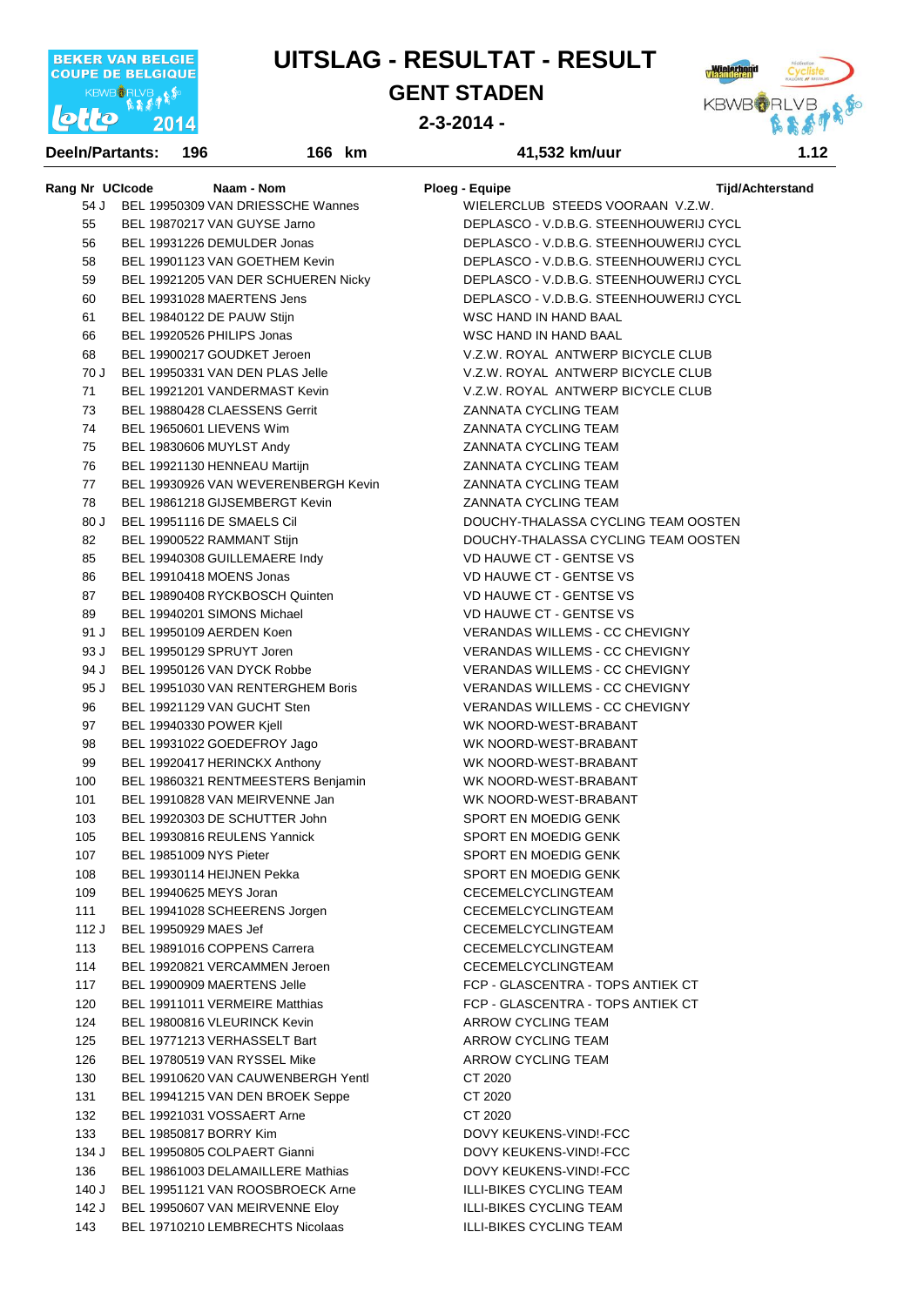

**GENT STADEN**

**2-3-2014 -** 

**km 41,532 km/uur 3:59:49**



**Rang Nr** UCIcode Naam - Nom Ploeg - Equipe Naam Ploeg - Equipe Tijd/Achterstand 54 J BEL 19950309 VAN DRIESSCHE Wannes WIELERCLUB STEEDS VOORAAN V.Z.W. 55 BEL 19870217 VAN GUYSE Jarno DEPLASCO - V.D.B.G. STEENHOUWERIJ CYCL 56 BEL 19931226 DEMULDER Jonas DEPLASCO - V.D.B.G. STEENHOUWERIJ CYCL 58 BEL 19901123 VAN GOETHEM Kevin DEPLASCO - V.D.B.G. STEENHOUWERIJ CYCL 59 BEL 19921205 VAN DER SCHUEREN Nicky DEPLASCO - V.D.B.G. STEENHOUWERIJ CYCL 60 BEL 19931028 MAERTENS Jens DEPLASCO - V.D.B.G. STEENHOUWERIJ CYCL 61 BEL 19840122 DE PAUW Stijn WSC HAND IN HAND BAAL 66 BEL 19920526 PHILIPS Jonas WSC HAND IN HAND BAAL 68 BEL 19900217 GOUDKET Jeroen V.Z.W. ROYAL ANTWERP BICYCLE CLUB 70 J BEL 19950331 VAN DEN PLAS Jelle V.Z.W. ROYAL ANTWERP BICYCLE CLUB 71 BEL 19921201 VANDERMAST Kevin V.Z.W. ROYAL ANTWERP BICYCLE CLUB 73 BEL 19880428 CLAESSENS Gerrit ZANNATA CYCLING TEAM 74 BEL 19650601 LIEVENS Wim ZANNATA CYCLING TEAM 75 BEL 19830606 MUYLST Andy ZANNATA CYCLING TEAM 76 BEL 19921130 HENNEAU Martijn **Wareless CONTAINATA CONTAING TEAM** 77 BEL 19930926 VAN WEVERENBERGH Kevin ZANNATA CYCLING TEAM 78 BEL 19861218 GIJSEMBERGT Kevin ZANNATA CYCLING TEAM 80 J BEL 19951116 DE SMAELS Cil DOUCHY-THALASSA CYCLING TEAM OOSTEN 82 BEL 19900522 RAMMANT Stijn CHE COUCHY-THALASSA CYCLING TEAM OOSTEN 85 BEL 19940308 GUILLEMAERE Indy VD HAUWE CT - GENTSE VS 86 BEL 19910418 MOENS Jonas VENDE COMPUSS VIOLATION CONTROL OF SENTS VS 87 BEL 19890408 RYCKBOSCH Quinten VIELLE VIEW VD HAUWE CT - GENTSE VS 89 BEL 19940201 SIMONS Michael VB VD HAUWE CT - GENTSE VS 91 J BEL 19950109 AERDEN Koen VERANDAS WILLEMS - CC CHEVIGNY 93 J BEL 19950129 SPRUYT Joren VERANDAS WILLEMS - CC CHEVIGNY 94 J BEL 19950126 VAN DYCK Robbe VERANDAS WILLEMS - CC CHEVIGNY 95 J BEL 19951030 VAN RENTERGHEM Boris VERANDAS WILLEMS - CC CHEVIGNY 96 BEL 19921129 VAN GUCHT Sten VERANDAS WILLEMS - CC CHEVIGNY 97 BEL 19940330 POWER Kjell WEST-BRABANT WE WE NOORD-WEST-BRABANT 98 BEL 19931022 GOEDEFROY Jago WK NOORD-WEST-BRABANT 99 BEL 19920417 HERINCKX Anthony WK NOORD-WEST-BRABANT 100 BEL 19860321 RENTMEESTERS Benjamin WK NOORD-WEST-BRABANT 101 BEL 19910828 VAN MEIRVENNE Jan WK NOORD-WEST-BRABANT 103 BEL 19920303 DE SCHUTTER John SPORT EN MOEDIG GENK 105 BEL 19930816 REULENS Yannick SPORT EN MOEDIG GENK 107 BEL 19851009 NYS Pieter SPORT EN MOEDIG GENK 108 BEL 19930114 HELINEN Pekka SPORT EN MOEDIG GENK 109 BEL 19940625 MEYS Joran CECEMELCYCLINGTEAM 111 BEL 19941028 SCHEERENS Jorgen CECEMELCYCLINGTEAM 112 J BEL 19950929 MAES Jef CECEMELCYCLINGTEAM 113 BEL 19891016 COPPENS Carrera CECEMELCYCLINGTEAM 114 BEL 19920821 VERCAMMEN Jeroen CECEMELCYCLINGTEAM 117 BEL 19900909 MAERTENS Jelle FCP - GLASCENTRA - TOPS ANTIEK CT 120 BEL 19911011 VERMEIRE Matthias FCP - GLASCENTRA - TOPS ANTIEK CT 124 BEL 19800816 VLEURINCK Kevin **ARROW CYCLING TEAM** 125 BEL 19771213 VERHASSELT Bart ARROW CYCLING TEAM 126 BEL 19780519 VAN RYSSEL Mike ARROW CYCLING TEAM 130 BEL 19910620 VAN CAUWENBERGH Yentl CT 2020 131 BEL 19941215 VAN DEN BROEK Seppe CT 2020 132 BEL 19921031 VOSSAERT Arne CT 2020 133 BEL 19850817 BORRY Kim DOVY KEUKENS-VIND!-FCC 134 J BEL 19950805 COLPAERT Gianni DOVY KEUKENS-VIND!-FCC 136 BEL 19861003 DELAMAILLERE Mathias DOVY KEUKENS-VIND!-FCC 140 J BEL 19951121 VAN ROOSBROECK Arne ILLI-BIKES CYCLING TEAM 142 J BEL 19950607 VAN MEIRVENNE Eloy ILLI-BIKES CYCLING TEAM 143 BEL 19710210 LEMBRECHTS Nicolaas ILLI-BIKES CYCLING TEAM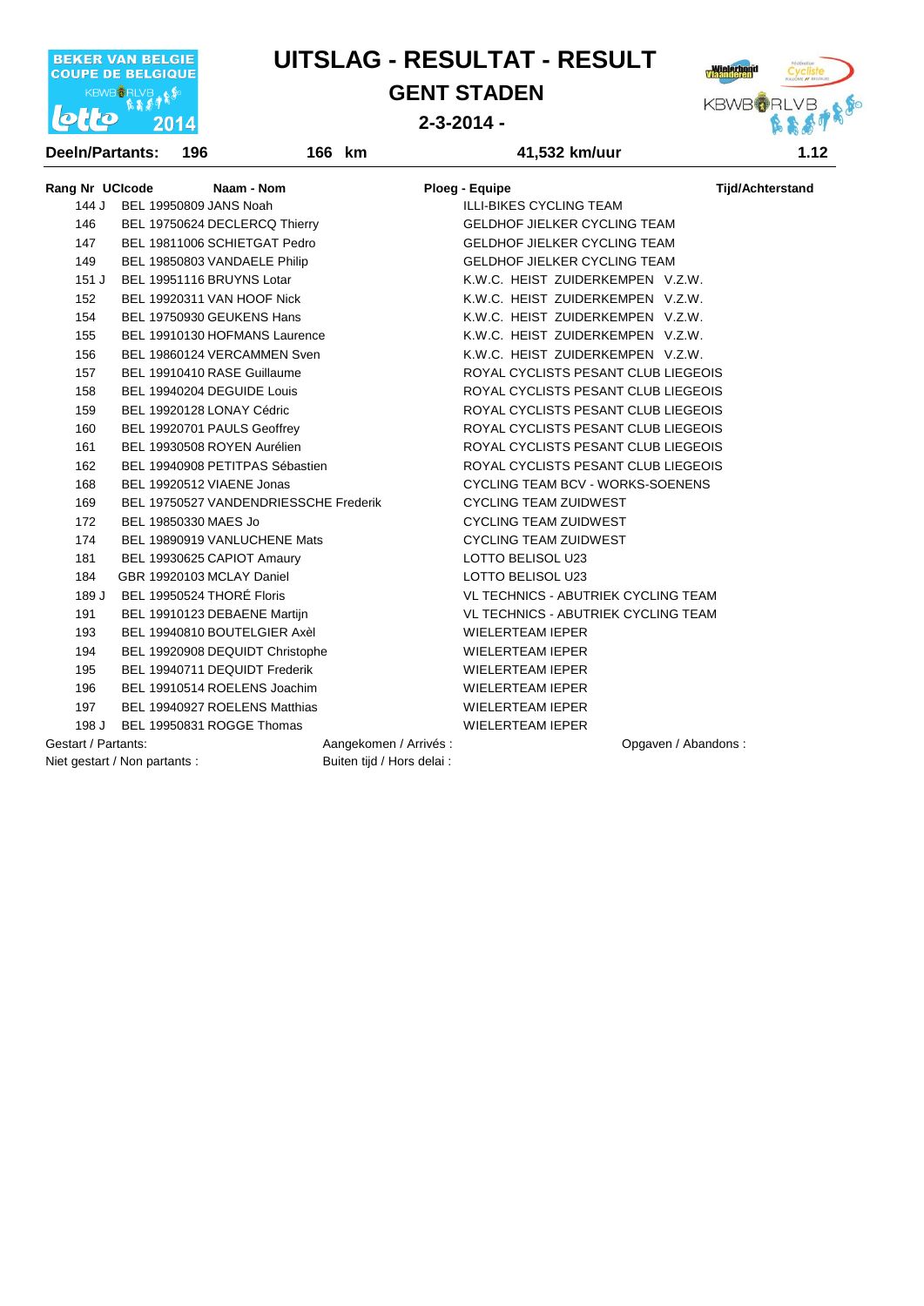

**GENT STADEN**

**2-3-2014 -** 

**km 41,532 km/uur 3:59:49**



| Rang Nr UCIcode     |                               | Naam - Nom                            |                            | <b>Ploeg - Equipe</b>                      | <b>Tijd/Achterstand</b> |
|---------------------|-------------------------------|---------------------------------------|----------------------------|--------------------------------------------|-------------------------|
| 144 J               | BEL 19950809 JANS Noah        |                                       |                            | <b>ILLI-BIKES CYCLING TEAM</b>             |                         |
| 146                 |                               | BEL 19750624 DECLERCQ Thierry         |                            | <b>GELDHOF JIELKER CYCLING TEAM</b>        |                         |
| 147                 |                               | BEL 19811006 SCHIETGAT Pedro          |                            | <b>GELDHOF JIELKER CYCLING TEAM</b>        |                         |
| 149                 |                               | BEL 19850803 VANDAELE Philip          |                            | <b>GELDHOF JIELKER CYCLING TEAM</b>        |                         |
| 151J                |                               | BEL 19951116 BRUYNS Lotar             |                            | K.W.C. HEIST ZUIDERKEMPEN V.Z.W.           |                         |
| 152                 |                               | BEL 19920311 VAN HOOF Nick            |                            | K.W.C. HEIST ZUIDERKEMPEN V.Z.W.           |                         |
| 154                 |                               | BEL 19750930 GEUKENS Hans             |                            | K.W.C. HEIST ZUIDERKEMPEN V.Z.W.           |                         |
| 155                 |                               | BEL 19910130 HOFMANS Laurence         |                            | K.W.C. HEIST ZUIDERKEMPEN V.Z.W.           |                         |
| 156                 |                               | BEL 19860124 VERCAMMEN Sven           |                            | K.W.C. HEIST ZUIDERKEMPEN V.Z.W.           |                         |
| 157                 |                               | BEL 19910410 RASE Guillaume           |                            | ROYAL CYCLISTS PESANT CLUB LIEGEOIS        |                         |
| 158                 |                               | BEL 19940204 DEGUIDE Louis            |                            | ROYAL CYCLISTS PESANT CLUB LIEGEOIS        |                         |
| 159                 |                               | BEL 19920128 LONAY Cédric             |                            | ROYAL CYCLISTS PESANT CLUB LIEGEOIS        |                         |
| 160                 |                               | BEL 19920701 PAULS Geoffrey           |                            | ROYAL CYCLISTS PESANT CLUB LIEGEOIS        |                         |
| 161                 |                               | BEL 19930508 ROYEN Aurélien           |                            | ROYAL CYCLISTS PESANT CLUB LIEGEOIS        |                         |
| 162                 |                               | BEL 19940908 PETITPAS Sébastien       |                            | ROYAL CYCLISTS PESANT CLUB LIEGEOIS        |                         |
| 168                 |                               | BEL 19920512 VIAENE Jonas             |                            | <b>CYCLING TEAM BCV - WORKS-SOENENS</b>    |                         |
| 169                 |                               | BEL 19750527 VANDENDRIESSCHE Frederik |                            | <b>CYCLING TEAM ZUIDWEST</b>               |                         |
| 172                 | BEL 19850330 MAES Jo          |                                       |                            | <b>CYCLING TEAM ZUIDWEST</b>               |                         |
| 174                 |                               | BEL 19890919 VANLUCHENE Mats          |                            | <b>CYCLING TEAM ZUIDWEST</b>               |                         |
| 181                 |                               | BEL 19930625 CAPIOT Amaury            |                            | LOTTO BELISOL U23                          |                         |
| 184                 |                               | GBR 19920103 MCLAY Daniel             |                            | LOTTO BELISOL U23                          |                         |
| 189 J               |                               | BEL 19950524 THORÉ Floris             |                            | <b>VL TECHNICS - ABUTRIEK CYCLING TEAM</b> |                         |
| 191                 |                               | BEL 19910123 DEBAENE Martijn          |                            | <b>VL TECHNICS - ABUTRIEK CYCLING TEAM</b> |                         |
| 193                 |                               | BEL 19940810 BOUTELGIER Axèl          |                            | <b>WIELERTEAM IEPER</b>                    |                         |
| 194                 |                               | BEL 19920908 DEQUIDT Christophe       |                            | <b>WIELERTEAM IEPER</b>                    |                         |
| 195                 |                               | BEL 19940711 DEQUIDT Frederik         |                            | <b>WIELERTEAM IEPER</b>                    |                         |
| 196                 |                               | BEL 19910514 ROELENS Joachim          |                            | <b>WIELERTEAM IEPER</b>                    |                         |
| 197                 |                               | BEL 19940927 ROELENS Matthias         |                            | <b>WIELERTEAM IEPER</b>                    |                         |
| 198 J               |                               | BEL 19950831 ROGGE Thomas             |                            | <b>WIELERTEAM IEPER</b>                    |                         |
| Gestart / Partants: |                               |                                       | Aangekomen / Arrivés :     | Opgaven / Abandons:                        |                         |
|                     | Niet gestart / Non partants : |                                       | Buiten tijd / Hors delai : |                                            |                         |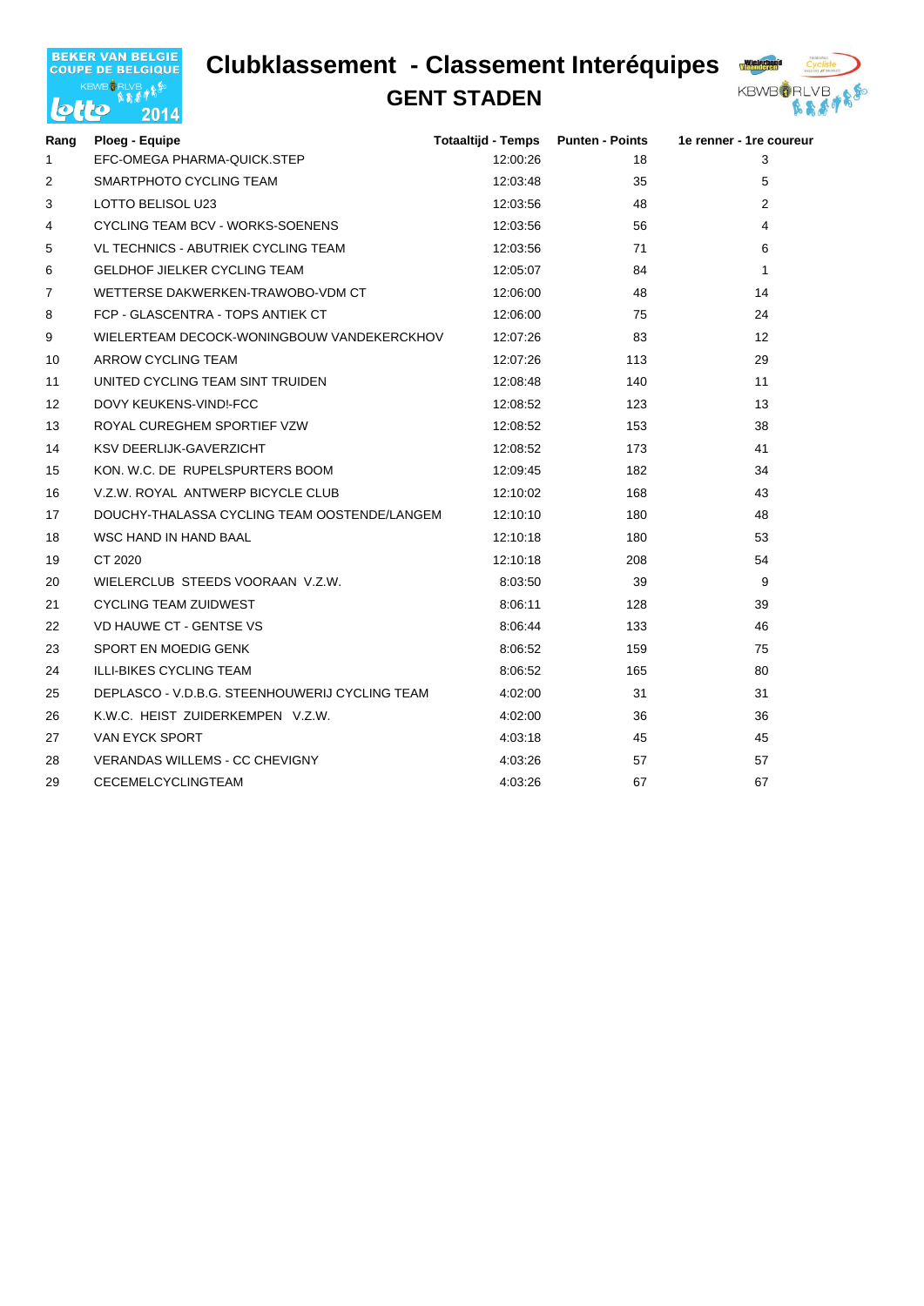### **Clubklassement - Classement Interéquipes**



#### **GENT STADEN**



| Rang           | Ploeg - Equipe                                 | <b>Totaaltijd - Temps</b> | <b>Punten - Points</b> | 1e renner - 1re coureur |
|----------------|------------------------------------------------|---------------------------|------------------------|-------------------------|
| 1              | EFC-OMEGA PHARMA-QUICK.STEP                    | 12:00:26                  | 18                     | 3                       |
| $\overline{2}$ | SMARTPHOTO CYCLING TEAM                        | 12:03:48                  | 35                     | 5                       |
| 3              | LOTTO BELISOL U23                              | 12:03:56                  | 48                     | 2                       |
| 4              | CYCLING TEAM BCV - WORKS-SOENENS               | 12:03:56                  | 56                     | 4                       |
| 5              | VL TECHNICS - ABUTRIEK CYCLING TEAM            | 12:03:56                  | 71                     | 6                       |
| 6              | <b>GELDHOF JIELKER CYCLING TEAM</b>            | 12:05:07                  | 84                     | $\mathbf{1}$            |
| $\overline{7}$ | WETTERSE DAKWERKEN-TRAWOBO-VDM CT              | 12:06:00                  | 48                     | 14                      |
| 8              | FCP - GLASCENTRA - TOPS ANTIEK CT              | 12:06:00                  | 75                     | 24                      |
| 9              | WIELERTEAM DECOCK-WONINGBOUW VANDEKERCKHOV     | 12:07:26                  | 83                     | $12 \overline{ }$       |
| 10             | ARROW CYCLING TEAM                             | 12:07:26                  | 113                    | 29                      |
| 11             | UNITED CYCLING TEAM SINT TRUIDEN               | 12:08:48                  | 140                    | 11                      |
| 12             | DOVY KEUKENS-VIND!-FCC                         | 12:08:52                  | 123                    | 13                      |
| 13             | ROYAL CUREGHEM SPORTIEF VZW                    | 12:08:52                  | 153                    | 38                      |
| 14             | KSV DEERLIJK-GAVERZICHT                        | 12:08:52                  | 173                    | 41                      |
| 15             | KON, W.C. DE RUPELSPURTERS BOOM                | 12:09:45                  | 182                    | 34                      |
| 16             | V.Z.W. ROYAL ANTWERP BICYCLE CLUB              | 12:10:02                  | 168                    | 43                      |
| 17             | DOUCHY-THALASSA CYCLING TEAM OOSTENDE/LANGEM   | 12:10:10                  | 180                    | 48                      |
| 18             | WSC HAND IN HAND BAAL                          | 12:10:18                  | 180                    | 53                      |
| 19             | CT 2020                                        | 12:10:18                  | 208                    | 54                      |
| 20             | WIELERCLUB STEEDS VOORAAN V.Z.W.               | 8:03:50                   | 39                     | 9                       |
| 21             | CYCLING TEAM ZUIDWEST                          | 8:06:11                   | 128                    | 39                      |
| 22             | VD HAUWE CT - GENTSE VS                        | 8:06:44                   | 133                    | 46                      |
| 23             | SPORT EN MOEDIG GENK                           | 8:06:52                   | 159                    | 75                      |
| 24             | <b>ILLI-BIKES CYCLING TEAM</b>                 | 8:06:52                   | 165                    | 80                      |
| 25             | DEPLASCO - V.D.B.G. STEENHOUWERIJ CYCLING TEAM | 4:02:00                   | 31                     | 31                      |
| 26             | K.W.C. HEIST ZUIDERKEMPEN V.Z.W.               | 4:02:00                   | 36                     | 36                      |
| 27             | <b>VAN EYCK SPORT</b>                          | 4:03:18                   | 45                     | 45                      |
| 28             | <b>VERANDAS WILLEMS - CC CHEVIGNY</b>          | 4:03:26                   | 57                     | 57                      |
| 29             | <b>CECEMELCYCLINGTEAM</b>                      | 4:03:26                   | 67                     | 67                      |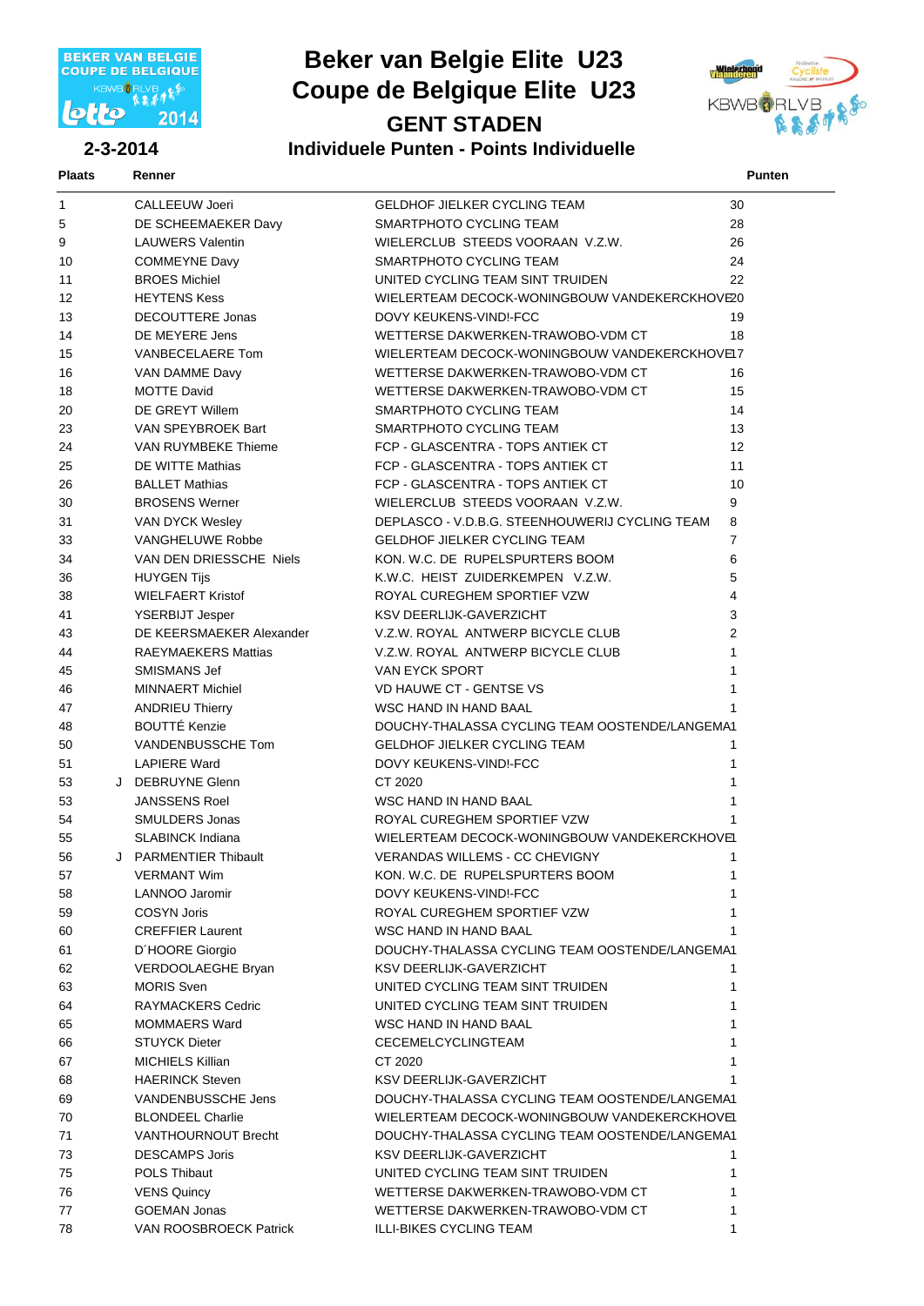

#### **Beker van Belgie Elite U23 GENT STADEN Coupe de Belgique Elite U23**



#### **2-3-2014 Individuele Punten - Points Individuelle**

| Plaats | Renner |  | Punten |
|--------|--------|--|--------|

| $\mathbf{1}$ | <b>CALLEEUW Joeri</b>      | <b>GELDHOF JIELKER CYCLING TEAM</b>            | 30                      |
|--------------|----------------------------|------------------------------------------------|-------------------------|
| 5            | DE SCHEEMAEKER Davy        | SMARTPHOTO CYCLING TEAM                        | 28                      |
| 9            | <b>LAUWERS Valentin</b>    | WIELERCLUB STEEDS VOORAAN V.Z.W.               | 26                      |
| 10           | <b>COMMEYNE Davy</b>       | SMARTPHOTO CYCLING TEAM                        | 24                      |
| 11           | <b>BROES Michiel</b>       | UNITED CYCLING TEAM SINT TRUIDEN               | 22                      |
| 12           | <b>HEYTENS Kess</b>        | WIELERTEAM DECOCK-WONINGBOUW VANDEKERCKHOVE20  |                         |
| 13           | <b>DECOUTTERE Jonas</b>    | DOVY KEUKENS-VINDI-FCC                         | 19                      |
| 14           | DE MEYERE Jens             | WETTERSE DAKWERKEN-TRAWOBO-VDM CT              | 18                      |
| 15           | VANBECELAERE Tom           | WIELERTEAM DECOCK-WONINGBOUW VANDEKERCKHOVE17  |                         |
| 16           | VAN DAMME Davy             | WETTERSE DAKWERKEN-TRAWOBO-VDM CT              | 16                      |
| 18           | <b>MOTTE David</b>         | WETTERSE DAKWERKEN-TRAWOBO-VDM CT              | 15                      |
| 20           | DE GREYT Willem            | SMARTPHOTO CYCLING TEAM                        | 14                      |
| 23           | VAN SPEYBROEK Bart         | SMARTPHOTO CYCLING TEAM                        | 13                      |
| 24           | VAN RUYMBEKE Thieme        | FCP - GLASCENTRA - TOPS ANTIEK CT              | 12                      |
| 25           | DE WITTE Mathias           | FCP - GLASCENTRA - TOPS ANTIEK CT              | 11                      |
| 26           | <b>BALLET Mathias</b>      | FCP - GLASCENTRA - TOPS ANTIEK CT              | 10                      |
|              | <b>BROSENS Werner</b>      | WIELERCLUB STEEDS VOORAAN V.Z.W.               | 9                       |
| 30           |                            | DEPLASCO - V.D.B.G. STEENHOUWERIJ CYCLING TEAM |                         |
| 31           | VAN DYCK Wesley            |                                                | 8                       |
| 33           | <b>VANGHELUWE Robbe</b>    | <b>GELDHOF JIELKER CYCLING TEAM</b>            | $\overline{7}$          |
| 34           | VAN DEN DRIESSCHE Niels    | KON, W.C. DE RUPELSPURTERS BOOM                | 6                       |
| 36           | <b>HUYGEN Tijs</b>         | K.W.C. HEIST ZUIDERKEMPEN V.Z.W.               | 5                       |
| 38           | <b>WIELFAERT Kristof</b>   | ROYAL CUREGHEM SPORTIEF VZW                    | $\overline{\mathbf{4}}$ |
| 41           | <b>YSERBIJT Jesper</b>     | <b>KSV DEERLIJK-GAVERZICHT</b>                 | 3                       |
| 43           | DE KEERSMAEKER Alexander   | V.Z.W. ROYAL ANTWERP BICYCLE CLUB              | $\overline{2}$          |
| 44           | <b>RAEYMAEKERS Mattias</b> | V.Z.W. ROYAL ANTWERP BICYCLE CLUB              | $\mathbf{1}$            |
| 45           | SMISMANS Jef               | VAN EYCK SPORT                                 | 1                       |
| 46           | <b>MINNAERT Michiel</b>    | <b>VD HAUWE CT - GENTSE VS</b>                 | $\mathbf{1}$            |
| 47           | <b>ANDRIEU Thierry</b>     | WSC HAND IN HAND BAAL                          |                         |
| 48           | <b>BOUTTÉ Kenzie</b>       | DOUCHY-THALASSA CYCLING TEAM OOSTENDE/LANGEMA1 |                         |
| 50           | VANDENBUSSCHE Tom          | <b>GELDHOF JIELKER CYCLING TEAM</b>            | 1                       |
| 51           | <b>LAPIERE Ward</b>        | DOVY KEUKENS-VIND!-FCC                         | 1                       |
| 53           | J DEBRUYNE Glenn           | CT 2020                                        | 1                       |
| 53           | <b>JANSSENS Roel</b>       | WSC HAND IN HAND BAAL                          | 1                       |
| 54           | SMULDERS Jonas             | ROYAL CUREGHEM SPORTIEF VZW                    |                         |
| 55           | <b>SLABINCK Indiana</b>    | WIELERTEAM DECOCK-WONINGBOUW VANDEKERCKHOVE1   |                         |
| 56           | J PARMENTIER Thibault      | <b>VERANDAS WILLEMS - CC CHEVIGNY</b>          | 1                       |
| 57           | <b>VERMANT Wim</b>         | KON. W.C. DE RUPELSPURTERS BOOM                | 1                       |
| 58           | LANNOO Jaromir             | DOVY KEUKENS-VIND!-FCC                         |                         |
| 59           | <b>COSYN Joris</b>         | ROYAL CUREGHEM SPORTIEF VZW                    |                         |
| 60           | <b>CREFFIER Laurent</b>    | WSC HAND IN HAND BAAL                          |                         |
| 61           | D'HOORE Giorgio            | DOUCHY-THALASSA CYCLING TEAM OOSTENDE/LANGEMA1 |                         |
| 62           | VERDOOLAEGHE Bryan         | <b>KSV DEERLIJK-GAVERZICHT</b>                 | 1.                      |
| 63           | <b>MORIS Sven</b>          | UNITED CYCLING TEAM SINT TRUIDEN               | 1                       |
| 64           | RAYMACKERS Cedric          | UNITED CYCLING TEAM SINT TRUIDEN               |                         |
| 65           | <b>MOMMAERS Ward</b>       | WSC HAND IN HAND BAAL                          |                         |
| 66           | <b>STUYCK Dieter</b>       | CECEMELCYCLINGTEAM                             |                         |
| 67           | MICHIELS Killian           | CT 2020                                        |                         |
| 68           | <b>HAERINCK Steven</b>     | KSV DEERLIJK-GAVERZICHT                        |                         |
| 69           | VANDENBUSSCHE Jens         | DOUCHY-THALASSA CYCLING TEAM OOSTENDE/LANGEMA1 |                         |
| 70           | <b>BLONDEEL Charlie</b>    | WIELERTEAM DECOCK-WONINGBOUW VANDEKERCKHOVE1   |                         |
| 71           | <b>VANTHOURNOUT Brecht</b> | DOUCHY-THALASSA CYCLING TEAM OOSTENDE/LANGEMA1 |                         |
| 73           | <b>DESCAMPS Joris</b>      | KSV DEERLIJK-GAVERZICHT                        | 1                       |
| 75           | <b>POLS Thibaut</b>        | UNITED CYCLING TEAM SINT TRUIDEN               | 1                       |
| 76           | <b>VENS Quincy</b>         | WETTERSE DAKWERKEN-TRAWOBO-VDM CT              | 1                       |
| 77           | <b>GOEMAN Jonas</b>        | WETTERSE DAKWERKEN-TRAWOBO-VDM CT              |                         |
| 78           | VAN ROOSBROECK Patrick     | ILLI-BIKES CYCLING TEAM                        | 1                       |
|              |                            |                                                |                         |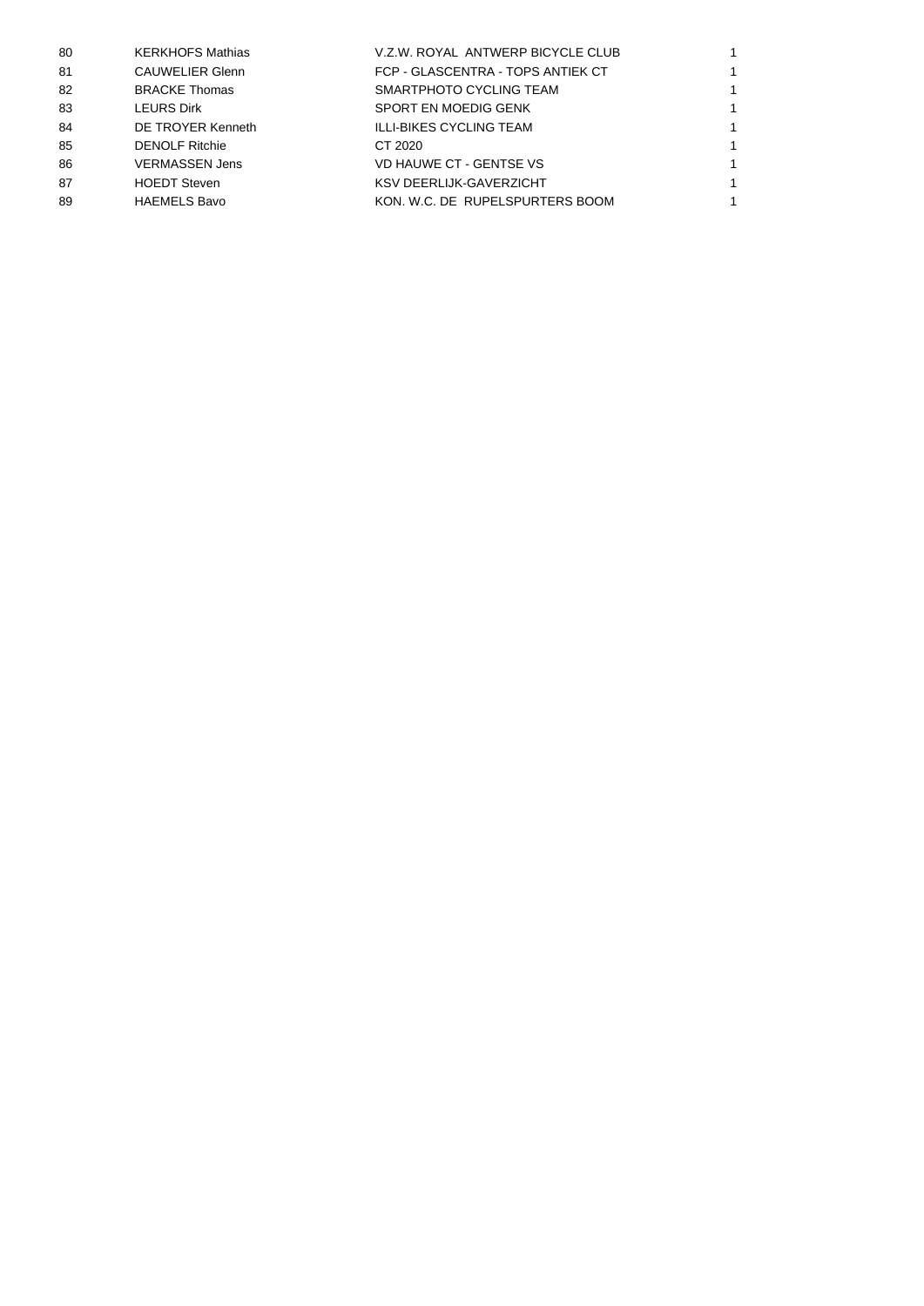| 80 | <b>KERKHOFS Mathias</b> | V.Z.W. ROYAL ANTWERP BICYCLE CLUB |  |
|----|-------------------------|-----------------------------------|--|
| 81 | <b>CAUWELIER Glenn</b>  | FCP - GLASCENTRA - TOPS ANTIEK CT |  |
| 82 | <b>BRACKE Thomas</b>    | SMARTPHOTO CYCLING TEAM           |  |
| 83 | <b>LEURS Dirk</b>       | SPORT EN MOEDIG GENK              |  |
| 84 | DE TROYER Kenneth       | ILLI-BIKES CYCLING TEAM           |  |
| 85 | <b>DENOLF Ritchie</b>   | CT 2020                           |  |
| 86 | <b>VERMASSEN Jens</b>   | VD HAUWE CT - GENTSE VS           |  |
| 87 | <b>HOEDT Steven</b>     | <b>KSV DEERLIJK-GAVERZICHT</b>    |  |
| 89 | <b>HAEMELS Bavo</b>     | KON, W.C. DE RUPELSPURTERS BOOM   |  |
|    |                         |                                   |  |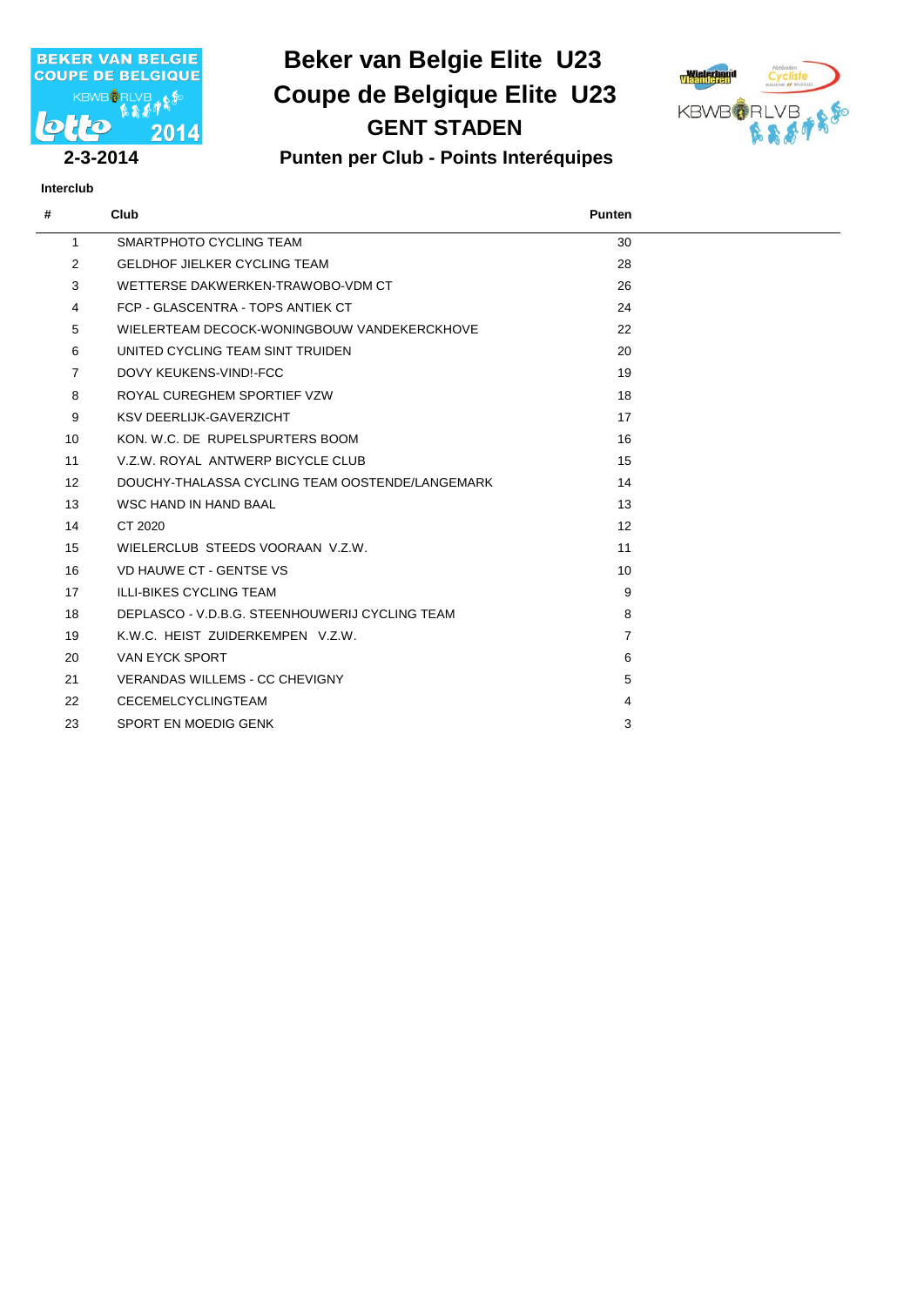

# **Beker van Belgie Elite U23 GENT STADEN Coupe de Belgique Elite U23**



**Interclub**

#### **2-3-2014 Punten per Club - Points Interéquipes**

| #              | Club                                            | <b>Punten</b>   |
|----------------|-------------------------------------------------|-----------------|
| 1              | SMARTPHOTO CYCLING TEAM                         | 30              |
| 2              | GELDHOF JIFLKER CYCLING TEAM                    | 28              |
| 3              | WETTERSE DAKWERKEN-TRAWOBO-VDM CT               | 26              |
| 4              | FCP - GLASCENTRA - TOPS ANTIFK CT               | 24              |
| 5              | WIELERTEAM DECOCK-WONINGBOUW VANDEKERCKHOVE     | 22              |
| 6              | UNITED CYCLING TEAM SINT TRUIDEN                | 20              |
| $\overline{7}$ | DOVY KEUKENS-VINDI-FCC                          | 19              |
| 8              | ROYAL CUREGHEM SPORTIEF VZW                     | 18              |
| 9              | <b>KSV DEERLIJK-GAVERZICHT</b>                  | 17              |
| 10             | KON, W.C. DE RUPELSPURTERS BOOM                 | 16              |
| 11             | V.Z.W. ROYAL ANTWERP BICYCLE CLUB               | 15              |
| 12             | DOUCHY-THALASSA CYCLING TEAM OOSTENDE/LANGEMARK | 14              |
| 13             | WSC HAND IN HAND BAAL                           | 13              |
| 14             | CT 2020                                         | 12              |
| 15             | WIELERCLUB STEEDS VOORAAN V.Z.W.                | 11              |
| 16             | VD HAUWE CT - GENTSE VS                         | 10 <sup>1</sup> |
| 17             | <b>ILLI-BIKES CYCLING TEAM</b>                  | 9               |
| 18             | DEPLASCO - V.D.B.G. STEENHOUWERIJ CYCLING TEAM  | 8               |
| 19             | K.W.C. HEIST ZUIDERKEMPEN V.Z.W.                | $\overline{7}$  |
| 20             | <b>VAN EYCK SPORT</b>                           | 6               |
| 21             | <b>VERANDAS WILLEMS - CC CHEVIGNY</b>           | 5               |
| 22             | <b>CECEMELCYCLINGTEAM</b>                       | 4               |
| 23             | SPORT EN MOEDIG GENK                            | 3               |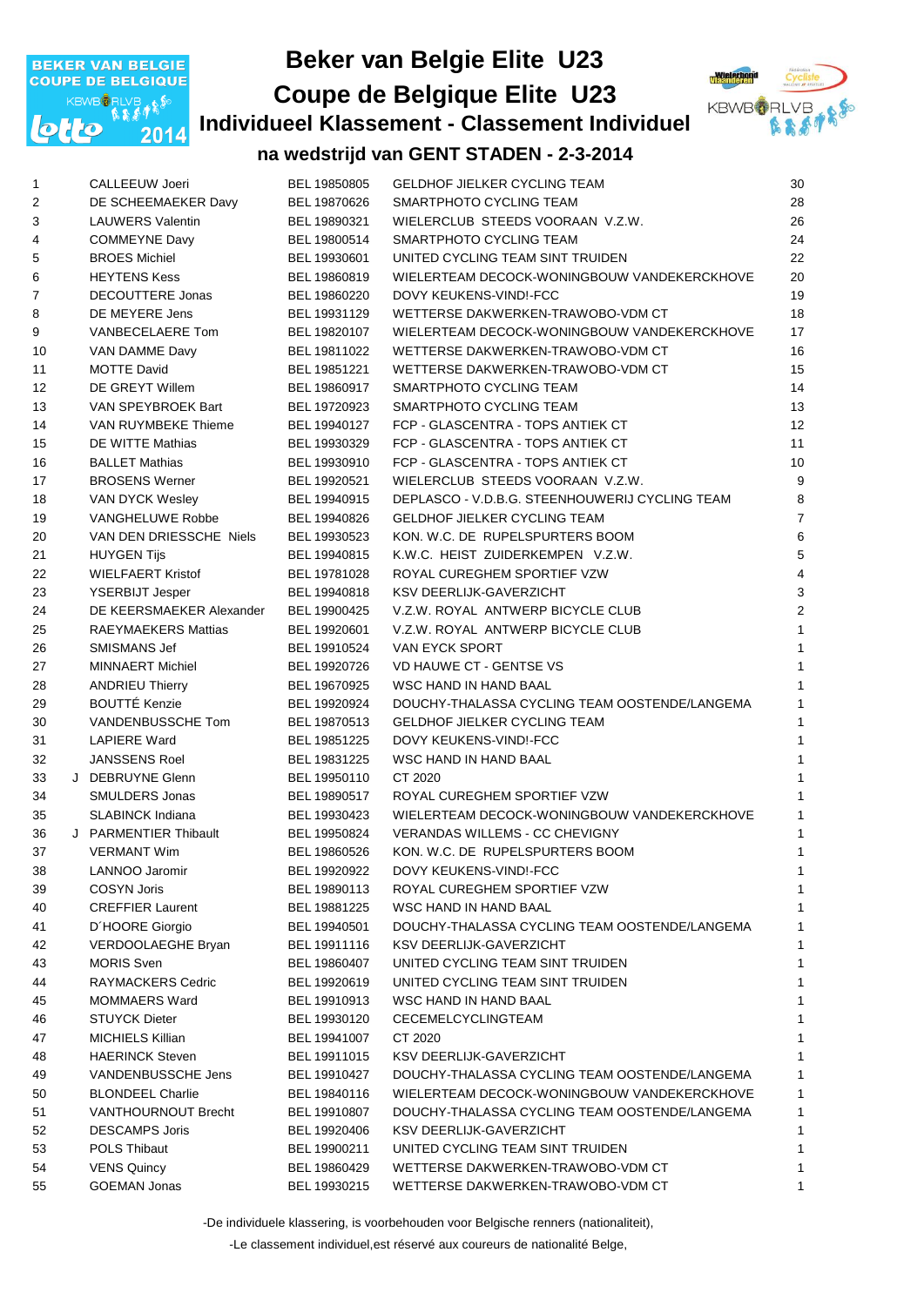

# **Beker van Belgie Elite U23 Individueel Klassement - Classement Individuel Coupe de Belgique Elite U23**



#### **na wedstrijd van GENT STADEN - 2-3-2014**

| $\mathbf{1}$   | CALLEEUW Joeri             | BEL 19850805 | <b>GELDHOF JIELKER CYCLING TEAM</b>            | 30                      |
|----------------|----------------------------|--------------|------------------------------------------------|-------------------------|
| $\sqrt{2}$     | DE SCHEEMAEKER Davy        | BEL 19870626 | SMARTPHOTO CYCLING TEAM                        | 28                      |
| $\sqrt{3}$     | <b>LAUWERS Valentin</b>    | BEL 19890321 | WIELERCLUB STEEDS VOORAAN V.Z.W.               | 26                      |
| 4              | <b>COMMEYNE Davy</b>       | BEL 19800514 | SMARTPHOTO CYCLING TEAM                        | 24                      |
| 5              | <b>BROES Michiel</b>       | BEL 19930601 | UNITED CYCLING TEAM SINT TRUIDEN               | 22                      |
| 6              | <b>HEYTENS Kess</b>        | BEL 19860819 | WIELERTEAM DECOCK-WONINGBOUW VANDEKERCKHOVE    | 20                      |
| $\overline{7}$ | DECOUTTERE Jonas           | BEL 19860220 | DOVY KEUKENS-VIND!-FCC                         | 19                      |
| 8              | DE MEYERE Jens             | BEL 19931129 | WETTERSE DAKWERKEN-TRAWOBO-VDM CT              | 18                      |
| 9              | VANBECELAERE Tom           | BEL 19820107 | WIELERTEAM DECOCK-WONINGBOUW VANDEKERCKHOVE    | 17                      |
| 10             | VAN DAMME Davy             | BEL 19811022 | WETTERSE DAKWERKEN-TRAWOBO-VDM CT              | 16                      |
| 11             | <b>MOTTE David</b>         | BEL 19851221 | WETTERSE DAKWERKEN-TRAWOBO-VDM CT              | 15                      |
| 12             | DE GREYT Willem            | BEL 19860917 | SMARTPHOTO CYCLING TEAM                        | 14                      |
| 13             | VAN SPEYBROEK Bart         | BEL 19720923 | SMARTPHOTO CYCLING TEAM                        | 13                      |
| 14             | VAN RUYMBEKE Thieme        | BEL 19940127 | FCP - GLASCENTRA - TOPS ANTIEK CT              | 12                      |
| 15             | DE WITTE Mathias           | BEL 19930329 | FCP - GLASCENTRA - TOPS ANTIEK CT              | 11                      |
| 16             | <b>BALLET Mathias</b>      | BEL 19930910 | FCP - GLASCENTRA - TOPS ANTIEK CT              | 10                      |
| 17             | <b>BROSENS Werner</b>      | BEL 19920521 | WIELERCLUB STEEDS VOORAAN V.Z.W.               | 9                       |
| 18             | VAN DYCK Wesley            | BEL 19940915 | DEPLASCO - V.D.B.G. STEENHOUWERIJ CYCLING TEAM | 8                       |
| 19             | <b>VANGHELUWE Robbe</b>    | BEL 19940826 | <b>GELDHOF JIELKER CYCLING TEAM</b>            | $\overline{7}$          |
| 20             | VAN DEN DRIESSCHE Niels    | BEL 19930523 | KON. W.C. DE RUPELSPURTERS BOOM                | 6                       |
| 21             | <b>HUYGEN Tijs</b>         | BEL 19940815 | K.W.C. HEIST ZUIDERKEMPEN V.Z.W.               | 5                       |
| 22             | <b>WIELFAERT Kristof</b>   | BEL 19781028 | ROYAL CUREGHEM SPORTIEF VZW                    | $\overline{\mathbf{4}}$ |
| 23             | <b>YSERBIJT Jesper</b>     | BEL 19940818 | KSV DEERLIJK-GAVERZICHT                        | 3                       |
| 24             | DE KEERSMAEKER Alexander   | BEL 19900425 | V.Z.W. ROYAL ANTWERP BICYCLE CLUB              | $\overline{c}$          |
| 25             | <b>RAEYMAEKERS Mattias</b> | BEL 19920601 | V.Z.W. ROYAL ANTWERP BICYCLE CLUB              | $\mathbf{1}$            |
| 26             | SMISMANS Jef               | BEL 19910524 | VAN EYCK SPORT                                 | $\mathbf{1}$            |
| 27             | <b>MINNAERT Michiel</b>    | BEL 19920726 | <b>VD HAUWE CT - GENTSE VS</b>                 | $\mathbf{1}$            |
| 28             | <b>ANDRIEU Thierry</b>     | BEL 19670925 | WSC HAND IN HAND BAAL                          | $\mathbf{1}$            |
| 29             | <b>BOUTTÉ Kenzie</b>       | BEL 19920924 | DOUCHY-THALASSA CYCLING TEAM OOSTENDE/LANGEMA  | $\mathbf{1}$            |
| 30             | VANDENBUSSCHE Tom          | BEL 19870513 | <b>GELDHOF JIELKER CYCLING TEAM</b>            | $\mathbf{1}$            |
| 31             | <b>LAPIERE Ward</b>        | BEL 19851225 | DOVY KEUKENS-VIND!-FCC                         | $\mathbf{1}$            |
| 32             | <b>JANSSENS Roel</b>       | BEL 19831225 | WSC HAND IN HAND BAAL                          | $\mathbf{1}$            |
| 33             | J DEBRUYNE Glenn           | BEL 19950110 | CT 2020                                        | $\mathbf{1}$            |
| 34             | SMULDERS Jonas             | BEL 19890517 | ROYAL CUREGHEM SPORTIEF VZW                    | $\mathbf{1}$            |
| 35             | <b>SLABINCK Indiana</b>    | BEL 19930423 | WIELERTEAM DECOCK-WONINGBOUW VANDEKERCKHOVE    | $\mathbf{1}$            |
| 36             | J PARMENTIER Thibault      | BEL 19950824 | <b>VERANDAS WILLEMS - CC CHEVIGNY</b>          | $\mathbf{1}$            |
| 37             | <b>VERMANT Wim</b>         | BEL 19860526 | KON. W.C. DE RUPELSPURTERS BOOM                | $\mathbf{1}$            |
| 38             | LANNOO Jaromir             | BEL 19920922 | DOVY KEUKENS-VIND!-FCC                         | $\overline{1}$          |
| 39             | <b>COSYN Joris</b>         | BEL 19890113 | ROYAL CUREGHEM SPORTIEF VZW                    | $\mathbf{1}$            |
| 40             | <b>CREFFIER Laurent</b>    | BEL 19881225 | WSC HAND IN HAND BAAL                          | $\mathbf{1}$            |
| 41             | D'HOORE Giorgio            | BEL 19940501 | DOUCHY-THALASSA CYCLING TEAM OOSTENDE/LANGEMA  | $\mathbf{1}$            |
| 42             | VERDOOLAEGHE Bryan         | BEL 19911116 | KSV DEERLIJK-GAVERZICHT                        | $\mathbf{1}$            |
| 43             | <b>MORIS Sven</b>          | BEL 19860407 | UNITED CYCLING TEAM SINT TRUIDEN               | $\mathbf{1}$            |
| 44             | RAYMACKERS Cedric          | BEL 19920619 | UNITED CYCLING TEAM SINT TRUIDEN               | $\mathbf{1}$            |
| 45             | <b>MOMMAERS Ward</b>       | BEL 19910913 | WSC HAND IN HAND BAAL                          | $\mathbf{1}$            |
| 46             | <b>STUYCK Dieter</b>       | BEL 19930120 | CECEMELCYCLINGTEAM                             | $\mathbf{1}$            |
| 47             | <b>MICHIELS Killian</b>    | BEL 19941007 | CT 2020                                        | $\mathbf{1}$            |
| 48             | <b>HAERINCK Steven</b>     | BEL 19911015 | KSV DEERLIJK-GAVERZICHT                        | 1                       |
| 49             | VANDENBUSSCHE Jens         | BEL 19910427 | DOUCHY-THALASSA CYCLING TEAM OOSTENDE/LANGEMA  | 1                       |
| 50             | <b>BLONDEEL Charlie</b>    | BEL 19840116 | WIELERTEAM DECOCK-WONINGBOUW VANDEKERCKHOVE    | 1                       |
| 51             | VANTHOURNOUT Brecht        | BEL 19910807 | DOUCHY-THALASSA CYCLING TEAM OOSTENDE/LANGEMA  | 1                       |
| 52             | <b>DESCAMPS Joris</b>      | BEL 19920406 | KSV DEERLIJK-GAVERZICHT                        | 1                       |
| 53             | POLS Thibaut               | BEL 19900211 | UNITED CYCLING TEAM SINT TRUIDEN               | $\mathbf{1}$            |
| 54             | <b>VENS Quincy</b>         | BEL 19860429 | WETTERSE DAKWERKEN-TRAWOBO-VDM CT              | 1                       |
|                | <b>GOEMAN Jonas</b>        |              | WETTERSE DAKWERKEN-TRAWOBO-VDM CT              |                         |
| 55             |                            | BEL 19930215 |                                                | 1                       |

-De individuele klassering, is voorbehouden voor Belgische renners (nationaliteit),

-Le classement individuel,est réservé aux coureurs de nationalité Belge,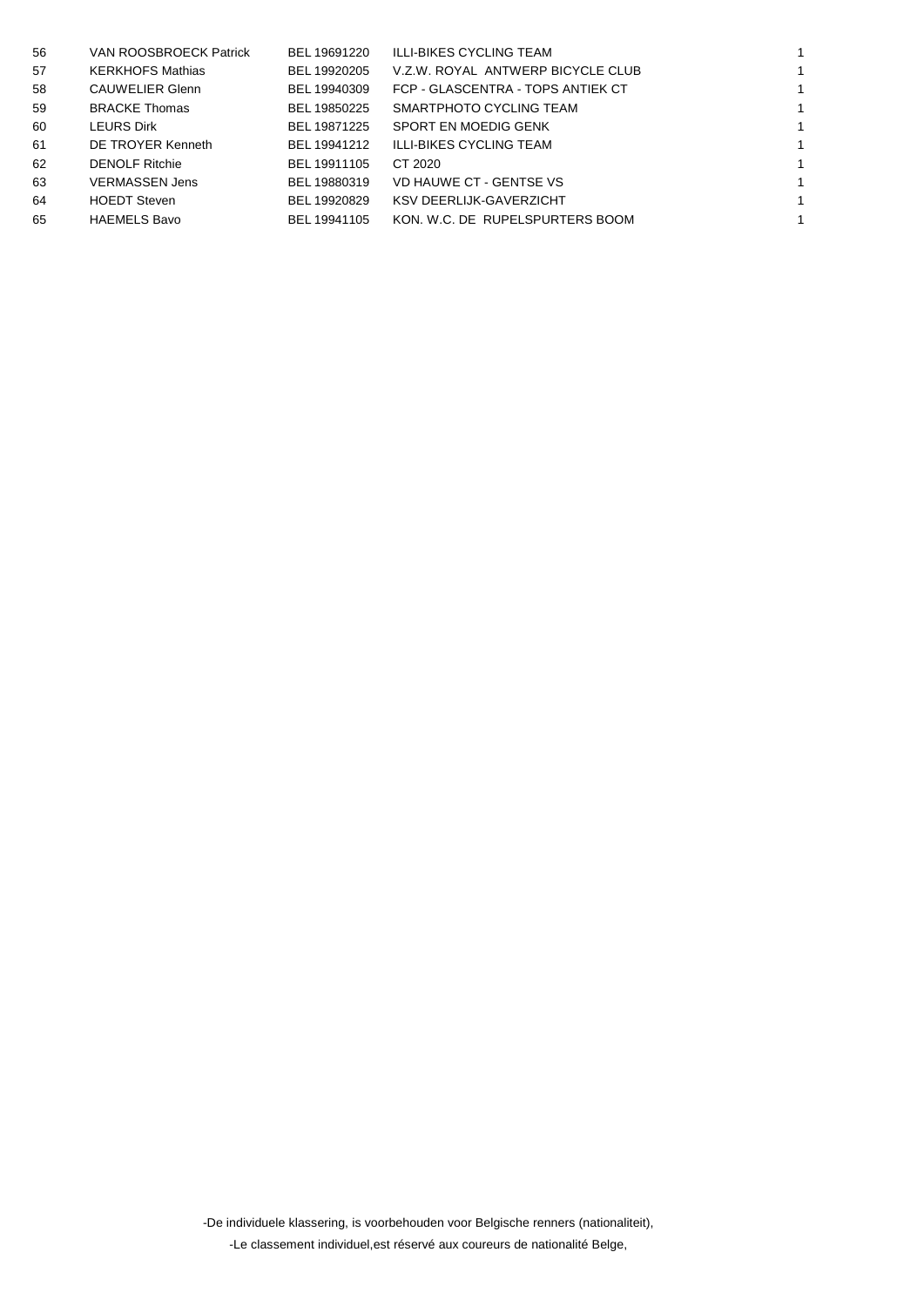| 56 | VAN ROOSBROECK Patrick  | BEL 19691220 | ILLI-BIKES CYCLING TEAM           |  |
|----|-------------------------|--------------|-----------------------------------|--|
| 57 | <b>KERKHOFS Mathias</b> | BEL 19920205 | V.Z.W. ROYAL ANTWERP BICYCLE CLUB |  |
| 58 | <b>CAUWELIER Glenn</b>  | BEL 19940309 | FCP - GLASCENTRA - TOPS ANTIEK CT |  |
| 59 | <b>BRACKE Thomas</b>    | BEL 19850225 | SMARTPHOTO CYCLING TEAM           |  |
| 60 | <b>LEURS Dirk</b>       | BEL 19871225 | SPORT EN MOEDIG GENK              |  |
| 61 | DE TROYER Kenneth       | BEL 19941212 | ILLI-BIKES CYCLING TEAM           |  |
| 62 | <b>DENOLF Ritchie</b>   | BEL 19911105 | CT 2020                           |  |
| 63 | <b>VERMASSEN Jens</b>   | BEL 19880319 | VD HAUWE CT - GENTSE VS           |  |
| 64 | <b>HOEDT Steven</b>     | BEL 19920829 | KSV DEERLIJK-GAVERZICHT           |  |
| 65 | <b>HAEMELS Bavo</b>     | BEL 19941105 | KON, W.C. DE RUPELSPURTERS BOOM   |  |
|    |                         |              |                                   |  |

-De individuele klassering, is voorbehouden voor Belgische renners (nationaliteit), -Le classement individuel,est réservé aux coureurs de nationalité Belge,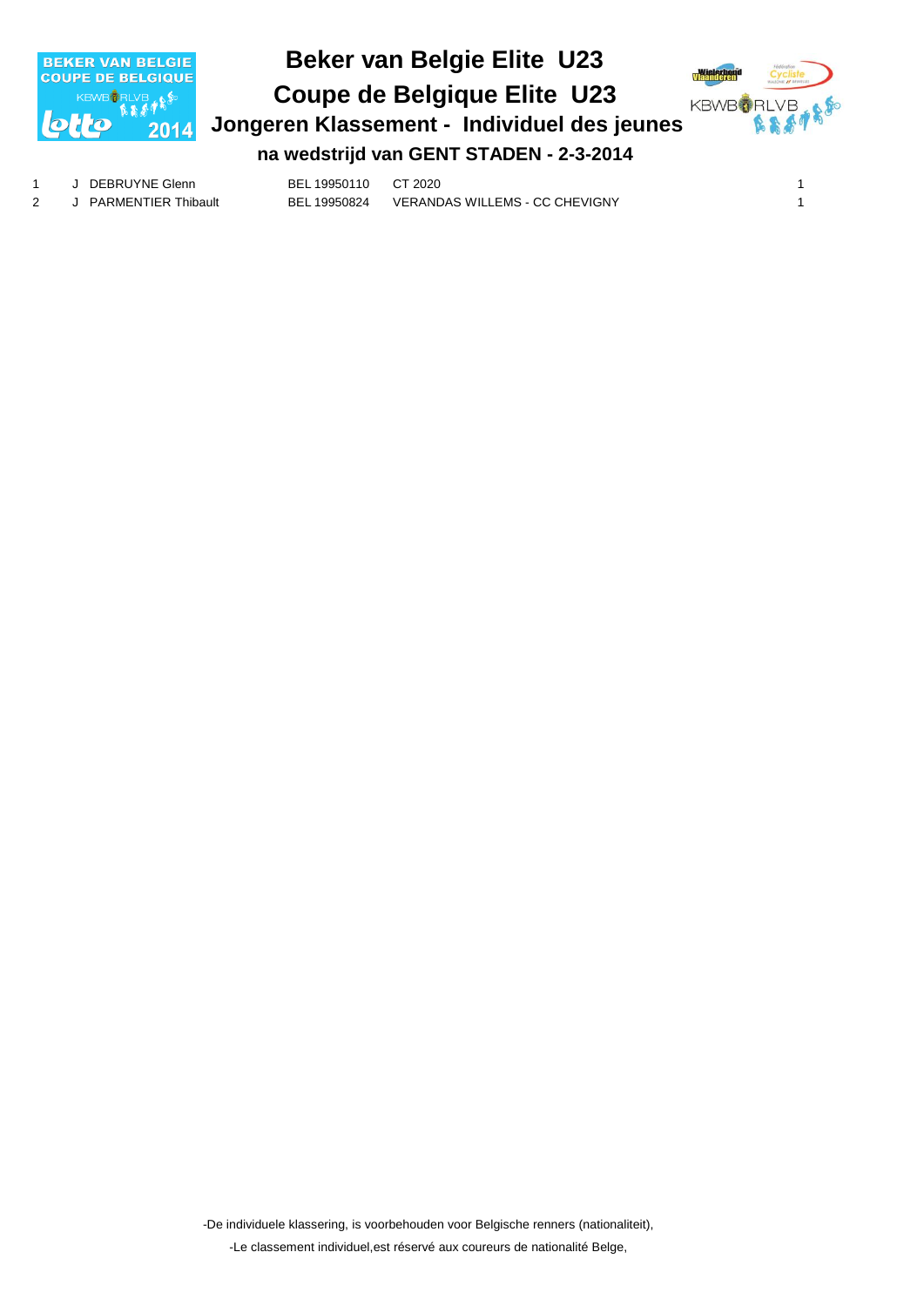

#### **Beker van Belgie Elite U23 Jongeren Klassement - Individuel des jeunes Coupe de Belgique Elite U23 na wedstrijd van GENT STADEN - 2-3-2014**



1 J DEBRUYNE Glenn BEL 19950110 CT 2020 1 2 J PARMENTIER Thibault BEL 19950824 VERANDAS WILLEMS - CC CHEVIGNY 1

> -De individuele klassering, is voorbehouden voor Belgische renners (nationaliteit), -Le classement individuel,est réservé aux coureurs de nationalité Belge,